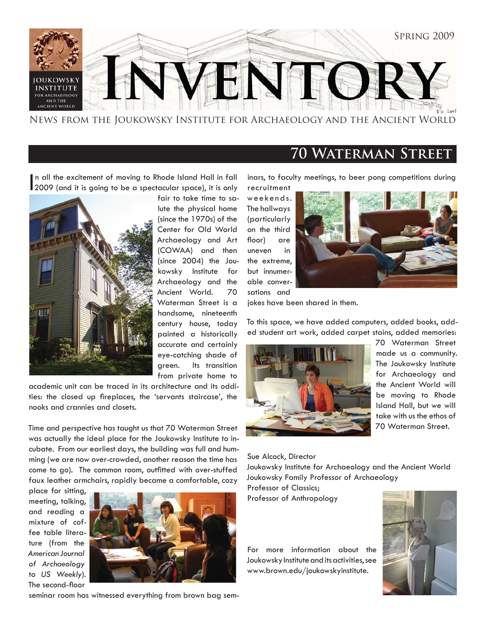

News from the Joukowsky Institute for Archaeology and the Ancient World

### **70 Waterman Street**

In all the excitement of moving to Rhode Island Hall in fall<br>2009 (and it is going to be a spectacular space), it is only n all the excitement of moving to Rhode Island Hall in fall



fair to take time to salute the physical home (since the 1970s) of the Center for Old World Archaeology and Art (COWAA) and then (since 2004) the Joukowsky Institute for Archaeology and the Ancient World. 70 Waterman Street is a handsome, nineteenth century house, today painted a historically accurate and certainly eye-catching shade of green. Its transition from private home to

academic unit can be traced in its architecture and its oddities: the closed up fireplaces, the 'servants staircase', the nooks and crannies and closets.

Time and perspective has taught us that 70 Waterman Street was actually the ideal place for the Joukowsky Institute to incubate. From our earliest days, the building was full and humming (we are now over-crowded, another reason the time has come to go). The common room, outfitted with over-stuffed faux leather armchairs, rapidly became a comfortable, cozy

place for sitting, meeting, talking, and reading a mixture of coffee table literature (from the *American Journal of Archaeology* to *US Weekly*). The second-floor



seminar room has witnessed everything from brown bag sem-

inars, to faculty meetings, to beer pong competitions during

recruitment weekends. The hallways (particularly on the third floor) are uneven in the extreme, but innumerable conversations and



jokes have been shared in them.

To this space, we have added computers, added books, added student art work, added carpet stains, added memories:



70 Waterman Street made us a community. The Joukowsky Institute for Archaeology and the Ancient World will be moving to Rhode Island Hall, but we will take with us the ethos of 70 Waterman Street.

Sue Alcock, Director

Joukowsky Institute for Archaeology and the Ancient World Joukowsky Family Professor of Archaeology Professor of Classics;

Professor of Anthropology

For more information about the Joukowsky Institute and its activities, see www.brown.edu/joukowskyinstitute.

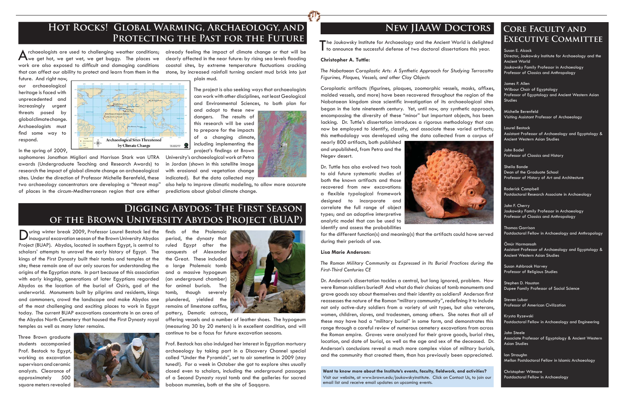A rchaeologists are used to challenging weather conditions; already feeling the impact of climate change or that will be<br>A we get hot, we get wet, we get buggy. The places we clearly affected in the near future: by rising work are also exposed to difficult and damaging conditions that can affect our ability to protect and learn from them in the

future. And right now, our archaeological heritage is faced with unprecedented and increasingly urgent threats posed by global climate change. Archaeologists must find some way to respond.



rchaeologists are used to challenging weather conditions; already feeling the impact of climate change or that will be coastal sites, by extreme temperature fluctuations cracking stone, by increased rainfall turning ancient mud brick into just

> and adapt to these new dangers. The results of this research will be used to prepare for the impacts of a changing climate, including implementing the project's findings at Brown

# **Hot Rocks! Global Warming, Archaeology, and**  PROTECTING THE PAST FOR THE FUTURE

sophomores Jonathan Migliori and Harrison Stark won UTRA awards (Undergraduate Teaching and Research Awards) to research the impact of global climate change on archaeological sites. Under the direction of Professor Michelle Berenfeld, these two archaeology concentrators are developing a "threat map" of places in the circum-Mediterranean region that are either predictions about global climate change.

Archaeological Sites Threatened by Climate Change

plain mud.

The project is also seeking ways that archaeologists can work with other disciplines, not least Geological and Environmental Sciences, to both plan for

 $\sum$ uring winter break 2009, Professor Laurel Bestock led the inaugural excavation season of the Brown University Abydos Project (BUAP). Abydos, located in southern Egypt, is central to scholars' attempts to unravel the early history of Egypt. The kings of the First Dynasty built their tombs and temples at the site; these remain one of our only sources for understanding the origins of the Egyptian state. In part because of this association with early kingship, generations of later Egyptians regarded Abydos as the location of the burial of Osiris, god of the underworld. Monuments built by pilgrims and residents, kings and commoners, crowd the landscape and make Abydos one of the most challenging and exciting places to work in Egypt today. The current BUAP excavations concentrate in an area of the Abydos North Cemetery that housed the First Dynasty royal temples as well as many later remains.

University's archaeological work at Petra in Jordan (shown in this satellite image with erosional and vegetation change indicated). But the data collected may

finds of the Ptolemaic period, the dynasty that ruled Egypt after the conquests of Alexander the Great. These included a large Ptolemaic tomb and a massive hypogeum (an underground chamber) for animal burials. The tomb, though severely plundered, yielded the remains of limestone coffins, pottery, Demotic ostraca,



also help to improve climatic modeling, to allow more accurate

James P. Allen Wilbour Chair of Egyptology Professor of Egyptology and Ancient Western Asian **Studies** 

Three Brown graduate students accompanied Prof. Bestock to Egypt, working as excavation supervisors and ceramic analysts. Clearance of approximately 500 square meters revealed



Coroplastic artifacts (figurines, plaques, zoomorphic vessels, masks, affixes, molded vessels, and more) have been recovered throughout the region of the Nabataean kingdom since scienti fi c investigation of its archaeological sites began in the late nineteenth century. Yet, until now, any synthetic approach, encompassing the diversity of these "minor" but important objects, has been lacking. Dr. Tuttle's dissertation introduces a rigorous methodology that can now be employed to identify, classify, and associate these varied artifacts; this methodology was developed using the data collected from a corpus of

offering vessels and a number of leather shoes. The hypogeum (measuring 30 by 20 meters) is in excellent condition, and will continue to be a focus for future excavation seasons.

Prof. Bestock has also indulged her interest in Egyptian mortuary archaeology by taking part in a Discovery Channel special called "Under the Pyramids", set to air sometime in 2009 (stay tuned!). For a week in October she got to explore sites usually closed even to scholars, including the underground passages of a Second Dynasty royal tomb and the galleries for sacred baboon mummies, both at the site of Saqqara.

# **Digging Abydos: The First Season of the Brown University Abydos Project (BUAP)**

Susan E. Alcock Director, Joukowsky Institute for Archaeology and the Ancient World Joukowsky Family Professor in Archaeology Professor of Classics and Anthropology

Want to know more about the Institute's events, faculty, fieldwork, and activities? Visit our website, at www.brown.edu/joukowskyinstitute. Click on Contact Us, to join our email list and receive email updates on upcoming events.



Michelle Berenfeld Visiting Assistant Professor of Archaeology

Laurel Bestock Assistant Professor of Archaeology and Egyptology & Ancient Western Asian Studies

John Bodel Professor of Classics and History

Sheila Bonde Dean of the Graduate School Professor of History of Art and Architecture

Roderick Campbell Postdoctoral Research Associate in Archaeology

John F. Cherry Joukowsky Family Professor in Archaeology Professor of Classics and Anthropology

Thomas Garrison Postdoctoral Fellow in Archaeology and Anthropology

Ömür Harmansah Assistant Professor of Archaeology and Egyptology & Ancient Western Asian Studies

Susan Ashbrook Harvey Professor of Religious Studies

Stephen D. Houston Dupee Family Professor of Social Science

Steven Lubar Professor of American Civilization

Krysta Ryzewski Postdoctoral Fellow in Archaeology and Engineering

John Steele Associate Professor of Egyptology & Ancient Western Asian Studies

Ian Straughn Mellon Postdoctoral Fellow in Islamic Archaeology

Christopher Witmore Postdoctoral Fellow in Archaeology

## **Core Faculty and Executive Committee**

# **New JIAAW Doctors**

The Joukowsky Institute for Archaeology and the Ancient World is delighted<br>to announce the successful defense of two doctoral dissertations this year.

### **Christopher A. Tuttle:**

*The Nabataean Coroplastic Arts: A Synthetic Approach for Studying Terracotta Figurines, Plaques, Vessels, and other Clay Objects*

nearly 800 artifacts, both published and unpublished, from Petra and the Negev desert.

Dr. Tuttle has also evolved two tools to aid future systematic studies of both the known artifacts and those recovered from new excavations: a flexible typological framework designed to incorporate and correlate the full range of object types; and an adaptive interpretive analytic model that can be used to identify and assess the probabilities



for the different function(s) and meaning(s) that the artifacts could have served during their periods of use.

### **Lisa Marie Anderson:**

*The Roman Military Community as Expressed in Its Burial Practices during the First-Third Centuries CE*

Dr. Anderson's dissertation tackles a central, but long ignored, problem. How were Roman soldiers buried? And what do their choices of tomb monuments and grave goods say about themselves and their identity as soldiers? Anderson first reassesses the nature of the Roman "military community", redefining it to include not only active-duty soldiers from a variety of unit types, but also veterans, women, children, slaves, and tradesmen, among others. She notes that all of these may have had a "military burial" in some form, and demonstrates this range through a careful review of numerous cemetery excavations from across the Roman empire. Graves were analyzed for their grave goods, burial rites, location, and date of burial, as well as the age and sex of the deceased. Dr. Anderson's conclusions reveal a much more complex vision of military burials, and the community that created them, than has previously been appreciated.